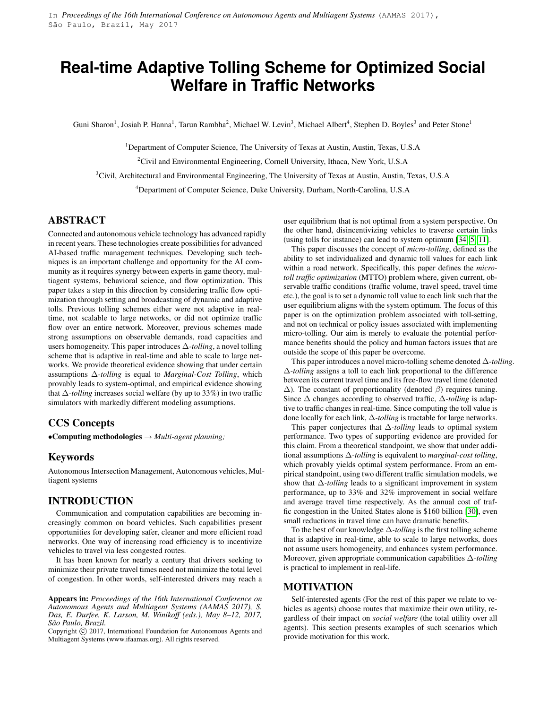# <span id="page-0-0"></span>**Real-time Adaptive Tolling Scheme for Optimized Social Welfare in Traffic Networks**

Guni Sharon<sup>1</sup>, Josiah P. Hanna<sup>1</sup>, Tarun Rambha<sup>2</sup>, Michael W. Levin<sup>3</sup>, Michael Albert<sup>4</sup>, Stephen D. Boyles<sup>3</sup> and Peter Stone<sup>1</sup>

 $1$ Department of Computer Science, The University of Texas at Austin, Austin, Texas, U.S.A

<sup>2</sup>Civil and Environmental Engineering, Cornell University, Ithaca, New York, U.S.A

<sup>3</sup>Civil, Architectural and Environmental Engineering, The University of Texas at Austin, Austin, Texas, U.S.A

<sup>4</sup>Department of Computer Science, Duke University, Durham, North-Carolina, U.S.A

## ABSTRACT

Connected and autonomous vehicle technology has advanced rapidly in recent years. These technologies create possibilities for advanced AI-based traffic management techniques. Developing such techniques is an important challenge and opportunity for the AI community as it requires synergy between experts in game theory, multiagent systems, behavioral science, and flow optimization. This paper takes a step in this direction by considering traffic flow optimization through setting and broadcasting of dynamic and adaptive tolls. Previous tolling schemes either were not adaptive in realtime, not scalable to large networks, or did not optimize traffic flow over an entire network. Moreover, previous schemes made strong assumptions on observable demands, road capacities and users homogeneity. This paper introduces ∆*-tolling*, a novel tolling scheme that is adaptive in real-time and able to scale to large networks. We provide theoretical evidence showing that under certain assumptions ∆*-tolling* is equal to *Marginal-Cost Tolling*, which provably leads to system-optimal, and empirical evidence showing that ∆*-tolling* increases social welfare (by up to 33%) in two traffic simulators with markedly different modeling assumptions.

## CCS Concepts

•Computing methodologies → *Multi-agent planning;*

#### Keywords

Autonomous Intersection Management, Autonomous vehicles, Multiagent systems

## INTRODUCTION

Communication and computation capabilities are becoming increasingly common on board vehicles. Such capabilities present opportunities for developing safer, cleaner and more efficient road networks. One way of increasing road efficiency is to incentivize vehicles to travel via less congested routes.

It has been known for nearly a century that drivers seeking to minimize their private travel times need not minimize the total level of congestion. In other words, self-interested drivers may reach a

Appears in: *Proceedings of the 16th International Conference on Autonomous Agents and Multiagent Systems (AAMAS 2017), S. Das, E. Durfee, K. Larson, M. Winikoff (eds.), May 8–12, 2017, São Paulo, Brazil.*

Copyright (C) 2017, International Foundation for Autonomous Agents and Multiagent Systems (www.ifaamas.org). All rights reserved.

user equilibrium that is not optimal from a system perspective. On the other hand, disincentivizing vehicles to traverse certain links (using tolls for instance) can lead to system optimum [\[34,](#page-8-0) [5,](#page-7-0) [11\]](#page-7-1).

This paper discusses the concept of *micro-tolling*, defined as the ability to set individualized and dynamic toll values for each link within a road network. Specifically, this paper defines the *microtoll traffic optimization* (MTTO) problem where, given current, observable traffic conditions (traffic volume, travel speed, travel time etc.), the goal is to set a dynamic toll value to each link such that the user equilibrium aligns with the system optimum. The focus of this paper is on the optimization problem associated with toll-setting, and not on technical or policy issues associated with implementing micro-tolling. Our aim is merely to evaluate the potential performance benefits should the policy and human factors issues that are outside the scope of this paper be overcome.

This paper introduces a novel micro-tolling scheme denoted ∆*-tolling*. ∆*-tolling* assigns a toll to each link proportional to the difference between its current travel time and its free-flow travel time (denoted  $\Delta$ ). The constant of proportionality (denoted  $\beta$ ) requires tuning. Since ∆ changes according to observed traffic, ∆*-tolling* is adaptive to traffic changes in real-time. Since computing the toll value is done locally for each link, ∆*-tolling* is tractable for large networks.

This paper conjectures that ∆*-tolling* leads to optimal system performance. Two types of supporting evidence are provided for this claim. From a theoretical standpoint, we show that under additional assumptions ∆*-tolling* is equivalent to *marginal-cost tolling*, which provably yields optimal system performance. From an empirical standpoint, using two different traffic simulation models, we show that ∆*-tolling* leads to a significant improvement in system performance, up to 33% and 32% improvement in social welfare and average travel time respectively. As the annual cost of traffic congestion in the United States alone is \$160 billion [\[30\]](#page-7-2), even small reductions in travel time can have dramatic benefits.

To the best of our knowledge ∆*-tolling* is the first tolling scheme that is adaptive in real-time, able to scale to large networks, does not assume users homogeneity, and enhances system performance. Moreover, given appropriate communication capabilities ∆*-tolling* is practical to implement in real-life.

#### MOTIVATION

Self-interested agents (For the rest of this paper we relate to vehicles as agents) choose routes that maximize their own utility, regardless of their impact on *social welfare* (the total utility over all agents). This section presents examples of such scenarios which provide motivation for this work.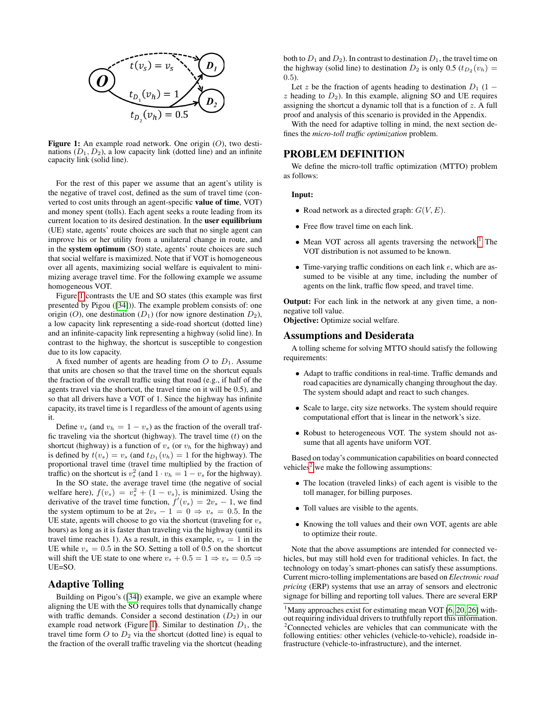<span id="page-1-0"></span>

Figure 1: An example road network. One origin  $(O)$ , two destinations  $(D_1, D_2)$ , a low capacity link (dotted line) and an infinite capacity link (solid line).

For the rest of this paper we assume that an agent's utility is the negative of travel cost, defined as the sum of travel time (converted to cost units through an agent-specific value of time, VOT) and money spent (tolls). Each agent seeks a route leading from its current location to its desired destination. In the user equilibrium (UE) state, agents' route choices are such that no single agent can improve his or her utility from a unilateral change in route, and in the system optimum (SO) state, agents' route choices are such that social welfare is maximized. Note that if VOT is homogeneous over all agents, maximizing social welfare is equivalent to minimizing average travel time. For the following example we assume homogeneous VOT.

Figure [1](#page-1-0) contrasts the UE and SO states (this example was first presented by Pigou ([\[34\]](#page-8-0))). The example problem consists of: one origin (O), one destination ( $D_1$ ) (for now ignore destination  $D_2$ ), a low capacity link representing a side-road shortcut (dotted line) and an infinite-capacity link representing a highway (solid line). In contrast to the highway, the shortcut is susceptible to congestion due to its low capacity.

A fixed number of agents are heading from  $O$  to  $D_1$ . Assume that units are chosen so that the travel time on the shortcut equals the fraction of the overall traffic using that road (e.g., if half of the agents travel via the shortcut, the travel time on it will be 0.5), and so that all drivers have a VOT of 1. Since the highway has infinite capacity, its travel time is 1 regardless of the amount of agents using it.

Define  $v_s$  (and  $v_h = 1 - v_s$ ) as the fraction of the overall traffic traveling via the shortcut (highway). The travel time  $(t)$  on the shortcut (highway) is a function of  $v_s$  (or  $v_h$  for the highway) and is defined by  $t(v_s) = v_s$  (and  $t_{D_1}(v_h) = 1$  for the highway). The proportional travel time (travel time multiplied by the fraction of traffic) on the shortcut is  $v_s^2$  (and  $1 \cdot v_h = 1 - v_s$  for the highway).

In the SO state, the average travel time (the negative of social welfare here),  $f(v_s) = v_s^2 + (1 - v_s)$ , is minimized. Using the derivative of the travel time function,  $f'(v_s) = 2v_s - 1$ , we find the system optimum to be at  $2v_s - 1 = 0 \Rightarrow v_s = 0.5$ . In the UE state, agents will choose to go via the shortcut (traveling for  $v_s$ hours) as long as it is faster than traveling via the highway (until its travel time reaches 1). As a result, in this example,  $v_s = 1$  in the UE while  $v_s = 0.5$  in the SO. Setting a toll of 0.5 on the shortcut will shift the UE state to one where  $v_s + 0.5 = 1 \Rightarrow v_s = 0.5 \Rightarrow$ UE=SO.

#### Adaptive Tolling

Building on Pigou's ([\[34\]](#page-8-0)) example, we give an example where aligning the UE with the SO requires tolls that dynamically change with traffic demands. Consider a second destination  $(D_2)$  in our example road network (Figure [1\)](#page-1-0). Similar to destination  $D_1$ , the travel time form  $O$  to  $D_2$  via the shortcut (dotted line) is equal to the fraction of the overall traffic traveling via the shortcut (heading

both to  $D_1$  and  $D_2$ ). In contrast to destination  $D_1$ , the travel time on the highway (solid line) to destination  $D_2$  is only 0.5  $(t_{D_2}(v_h)$  = 0.5).

Let z be the fraction of agents heading to destination  $D_1$  (1 –  $z$  heading to  $D_2$ ). In this example, aligning SO and UE requires assigning the shortcut a dynamic toll that is a function of z. A full proof and analysis of this scenario is provided in the Appendix.

With the need for adaptive tolling in mind, the next section defines the *micro-toll traffic optimization* problem.

#### PROBLEM DEFINITION

We define the micro-toll traffic optimization (MTTO) problem as follows:

#### Input:

- Road network as a directed graph:  $G(V, E)$ .
- Free flow travel time on each link.
- Mean VOT across all agents traversing the network.<sup>[1](#page-1-1)</sup> The VOT distribution is not assumed to be known.
- Time-varying traffic conditions on each link e, which are assumed to be visible at any time, including the number of agents on the link, traffic flow speed, and travel time.

**Output:** For each link in the network at any given time, a nonnegative toll value.

Objective: Optimize social welfare.

#### Assumptions and Desiderata

A tolling scheme for solving MTTO should satisfy the following requirements:

- Adapt to traffic conditions in real-time. Traffic demands and road capacities are dynamically changing throughout the day. The system should adapt and react to such changes.
- Scale to large, city size networks. The system should require computational effort that is linear in the network's size.
- Robust to heterogeneous VOT. The system should not assume that all agents have uniform VOT.

Based on today's communication capabilities on board connected vehicles<sup>[2](#page-1-2)</sup> we make the following assumptions:

- The location (traveled links) of each agent is visible to the toll manager, for billing purposes.
- Toll values are visible to the agents.
- Knowing the toll values and their own VOT, agents are able to optimize their route.

Note that the above assumptions are intended for connected vehicles, but may still hold even for traditional vehicles. In fact, the technology on today's smart-phones can satisfy these assumptions. Current micro-tolling implementations are based on *Electronic road pricing* (ERP) systems that use an array of sensors and electronic signage for billing and reporting toll values. There are several ERP

<span id="page-1-2"></span><span id="page-1-1"></span> $1$ Many approaches exist for estimating mean VOT [\[6,](#page-7-3) [20,](#page-7-4) [26\]](#page-7-5) without requiring individual drivers to truthfully report this information.  $2^2$ Connected vehicles are vehicles that can communicate with the following entities: other vehicles (vehicle-to-vehicle), roadside infrastructure (vehicle-to-infrastructure), and the internet.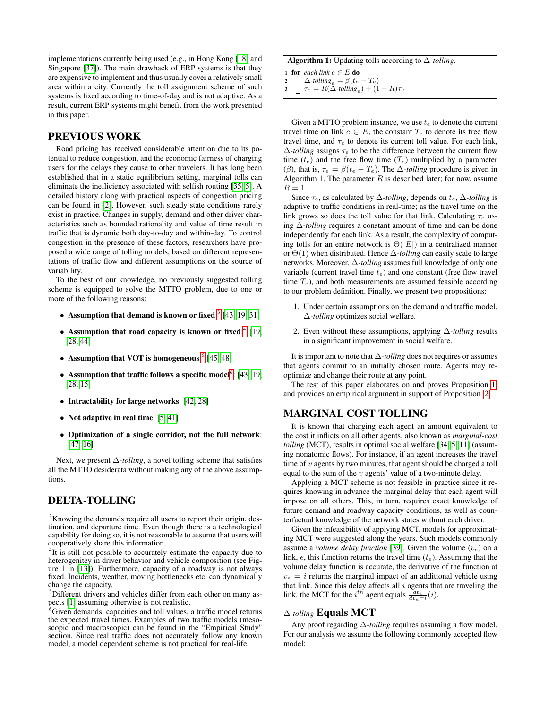implementations currently being used (e.g., in Hong Kong [\[18\]](#page-7-6) and Singapore [\[37\]](#page-8-1)). The main drawback of ERP systems is that they are expensive to implement and thus usually cover a relatively small area within a city. Currently the toll assignment scheme of such systems is fixed according to time-of-day and is not adaptive. As a result, current ERP systems might benefit from the work presented in this paper.

### PREVIOUS WORK

Road pricing has received considerable attention due to its potential to reduce congestion, and the economic fairness of charging users for the delays they cause to other travelers. It has long been established that in a static equilibrium setting, marginal tolls can eliminate the inefficiency associated with selfish routing [\[35,](#page-8-2) [5\]](#page-7-0). A detailed history along with practical aspects of congestion pricing can be found in [\[2\]](#page-7-7). However, such steady state conditions rarely exist in practice. Changes in supply, demand and other driver characteristics such as bounded rationality and value of time result in traffic that is dynamic both day-to-day and within-day. To control congestion in the presence of these factors, researchers have proposed a wide range of tolling models, based on different representations of traffic flow and different assumptions on the source of variability.

To the best of our knowledge, no previously suggested tolling scheme is equipped to solve the MTTO problem, due to one or more of the following reasons:

- Assumption that demand is known or fixed: $3$  [\[43,](#page-8-3) [19,](#page-7-8) [31\]](#page-8-4)
- Assumption that road capacity is known or fixed:<sup>[4](#page-2-1)</sup> [\[19,](#page-7-8) [28,](#page-7-9) [44\]](#page-8-5)
- Assumption that VOT is homogeneous:<sup>[5](#page-2-2)</sup> [\[45,](#page-8-6) [48\]](#page-8-7)
- Assumption that traffic follows a specific model<sup>[6](#page-2-3)</sup>: [\[43,](#page-8-3) [19,](#page-7-8) [28,](#page-7-9) [15\]](#page-7-10)
- Intractability for large networks: [\[42,](#page-8-8) [28\]](#page-7-9)
- Not adaptive in real time: [\[5,](#page-7-0) [41\]](#page-8-9)
- Optimization of a single corridor, not the full network: [\[47,](#page-8-10) [16\]](#page-7-11)

Next, we present ∆*-tolling*, a novel tolling scheme that satisfies all the MTTO desiderata without making any of the above assumptions.

## DELTA-TOLLING

<span id="page-2-0"></span><sup>3</sup>Knowing the demands require all users to report their origin, destination, and departure time. Even though there is a technological capability for doing so, it is not reasonable to assume that users will cooperatively share this information.

<span id="page-2-1"></span><sup>4</sup>It is still not possible to accurately estimate the capacity due to heterogenitey in driver behavior and vehicle composition (see Figure 1 in [\[13\]](#page-7-12)). Furthermore, capacity of a roadway is not always fixed. Incidents, weather, moving bottlenecks etc. can dynamically change the capacity.

<span id="page-2-2"></span><sup>5</sup>Different drivers and vehicles differ from each other on many aspects [\[1\]](#page-7-13) assuming otherwise is not realistic.

<span id="page-2-3"></span><sup>6</sup>Given demands, capacities and toll values, a traffic model returns the expected travel times. Examples of two traffic models (mesoscopic and macroscopic) can be found in the "Empirical Study" section. Since real traffic does not accurately follow any known model, a model dependent scheme is not practical for real-life.

#### Algorithm 1: Updating tolls according to ∆*-tolling*.

1 for *each link*  $e \in E$  do 2  $\Delta$ *-tolling<sub>e</sub>* =  $\beta(t_e - T_e)$ 

<span id="page-2-7"></span>3  $\Gamma$   $\tau_e = R(\Delta$ -tolling<sub>e</sub> $) + (1 - R)\tau_e$ 

Given a MTTO problem instance, we use  $t_e$  to denote the current travel time on link  $e \in E$ , the constant  $T_e$  to denote its free flow travel time, and  $\tau_e$  to denote its current toll value. For each link,  $\Delta$ -*tolling* assigns  $\tau_e$  to be the difference between the current flow time  $(t_e)$  and the free flow time  $(T_e)$  multiplied by a parameter (β), that is,  $\tau_e = \beta(t_e - T_e)$ . The  $\Delta$ -*tolling* procedure is given in Algorithm 1. The parameter  $R$  is described later; for now, assume  $R=1$ .

Since  $\tau_e$ , as calculated by  $\Delta$ -tolling, depends on  $t_e$ ,  $\Delta$ -tolling is adaptive to traffic conditions in real-time; as the travel time on the link grows so does the toll value for that link. Calculating  $\tau_e$  using ∆*-tolling* requires a constant amount of time and can be done independently for each link. As a result, the complexity of computing tolls for an entire network is  $\Theta(|E|)$  in a centralized manner or Θ(1) when distributed. Hence ∆*-tolling* can easily scale to large networks. Moreover, ∆*-tolling* assumes full knowledge of only one variable (current travel time  $t_e$ ) and one constant (free flow travel time  $T_e$ ), and both measurements are assumed feasible according to our problem definition. Finally, we present two propositions:

- <span id="page-2-4"></span>1. Under certain assumptions on the demand and traffic model, ∆*-tolling* optimizes social welfare.
- <span id="page-2-5"></span>2. Even without these assumptions, applying ∆*-tolling* results in a significant improvement in social welfare.

It is important to note that ∆*-tolling* does not requires or assumes that agents commit to an initially chosen route. Agents may reoptimize and change their route at any point.

The rest of this paper elaborates on and proves Proposition [1,](#page-2-4) and provides an empirical argument in support of Proposition [2.](#page-2-5)

## MARGINAL COST TOLLING

It is known that charging each agent an amount equivalent to the cost it inflicts on all other agents, also known as *marginal-cost tolling* (MCT), results in optimal social welfare [\[34,](#page-8-0) [5,](#page-7-0) [11\]](#page-7-1) (assuming nonatomic flows). For instance, if an agent increases the travel time of  $v$  agents by two minutes, that agent should be charged a toll equal to the sum of the  $v$  agents' value of a two-minute delay.

Applying a MCT scheme is not feasible in practice since it requires knowing in advance the marginal delay that each agent will impose on all others. This, in turn, requires exact knowledge of future demand and roadway capacity conditions, as well as counterfactual knowledge of the network states without each driver.

Given the infeasibility of applying MCT, models for approximating MCT were suggested along the years. Such models commonly assume a *volume delay function* [\[39\]](#page-8-11). Given the volume  $(v_e)$  on a link,  $e$ , this function returns the travel time  $(t_e)$ . Assuming that the volume delay function is accurate, the derivative of the function at  $v_e = i$  returns the marginal impact of an additional vehicle using that link. Since this delay affects all  $i$  agents that are traveling the link, the MCT for the  $i^{th}$  agent equals  $\frac{dt_e}{dv_e=i}(i)$ .

#### ∆*-tolling* Equals MCT

<span id="page-2-6"></span>Any proof regarding ∆*-tolling* requires assuming a flow model. For our analysis we assume the following commonly accepted flow model: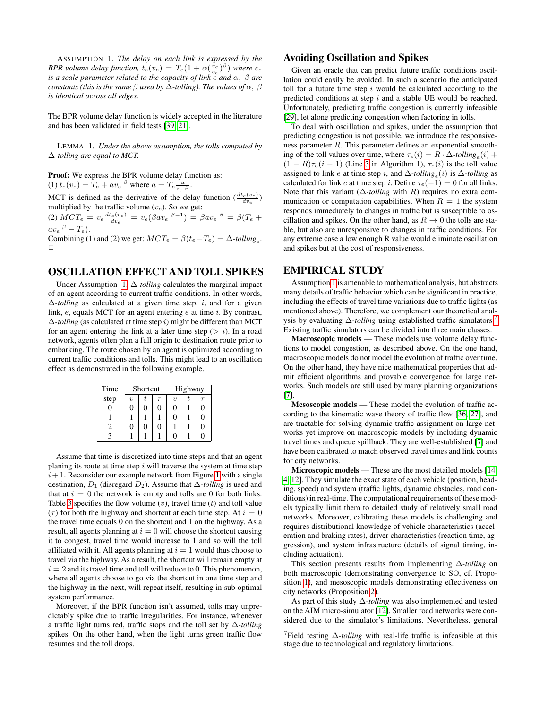ASSUMPTION 1. *The delay on each link is expressed by the BPR volume delay function,*  $t_e(v_e) = T_e(1 + \alpha(\frac{v_e}{c_e})^{\beta})$  *where*  $c_e$ *is a scale parameter related to the capacity of link*  $\tilde{e}$  *and*  $\alpha$ ,  $\beta$  *are constants (this is the same* β *used by* ∆*-tolling). The values of* α, β *is identical across all edges.*

The BPR volume delay function is widely accepted in the literature and has been validated in field tests [\[39,](#page-8-11) [21\]](#page-7-14).

<span id="page-3-1"></span>LEMMA 1. *Under the above assumption, the tolls computed by* ∆*-tolling are equal to MCT.*

Proof: We express the BPR volume delay function as: (1)  $t_e(v_e) = T_e + av_e^{-\beta}$  where  $a = T_e \frac{\alpha}{c_e^{-\beta}}$ .

MCT is defined as the derivative of the delay function  $(\frac{dt_e(v_e)}{dw_e})$ multiplied by the traffic volume  $(v_e)$ . So we get:

(2)  $MCT_e = v_e \frac{dt_e(v_e)}{dv_e} = v_e (\beta a v_e^{-\beta - 1}) = \beta a v_e^{-\beta} = \beta (T_e +$  $av_e\,{}^{\beta}-T_e).$ 

Combining (1) and (2) we get:  $MCT_e = \beta(t_e - T_e) = \Delta$ -tolling<sub>e</sub>.  $\Box$ 

## OSCILLATION EFFECT AND TOLL SPIKES

Under Assumption [1,](#page-2-6) ∆*-tolling* calculates the marginal impact of an agent according to current traffic conditions. In other words, ∆*-tolling* as calculated at a given time step, i, and for a given link,  $e$ , equals MCT for an agent entering  $e$  at time  $i$ . By contrast,  $\Delta$ -tolling (as calculated at time step i) might be different than MCT for an agent entering the link at a later time step  $(> i)$ . In a road network, agents often plan a full origin to destination route prior to embarking. The route chosen by an agent is optimized according to current traffic conditions and tolls. This might lead to an oscillation effect as demonstrated in the following example.

| Time |                     | Shortcut |   | Highway |  |   |
|------|---------------------|----------|---|---------|--|---|
| step | $\boldsymbol{\eta}$ |          |   | $\eta$  |  |   |
|      |                     | 0        |   | 0       |  | 0 |
|      |                     |          |   | 0       |  | 0 |
| 2    |                     | 0        | O |         |  | 0 |
|      |                     |          |   |         |  | ſ |

Assume that time is discretized into time steps and that an agent planing its route at time step  $i$  will traverse the system at time step  $i+1$ . Reconsider our example network from Figure [1](#page-1-0) with a single destination,  $D_1$  (disregard  $D_2$ ). Assume that  $\Delta$ -*tolling* is used and that at  $i = 0$  the network is empty and tolls are 0 for both links. Table [3](#page-0-0) specifies the flow volume  $(v)$ , travel time  $(t)$  and toll value ( $\tau$ ) for both the highway and shortcut at each time step. At  $i = 0$ the travel time equals 0 on the shortcut and 1 on the highway. As a result, all agents planning at  $i = 0$  will choose the shortcut causing it to congest, travel time would increase to 1 and so will the toll affiliated with it. All agents planning at  $i = 1$  would thus choose to travel via the highway. As a result, the shortcut will remain empty at  $i = 2$  and its travel time and toll will reduce to 0. This phenomenon, where all agents choose to go via the shortcut in one time step and the highway in the next, will repeat itself, resulting in sub optimal system performance.

Moreover, if the BPR function isn't assumed, tolls may unpredictably spike due to traffic irregularities. For instance, whenever a traffic light turns red, traffic stops and the toll set by ∆*-tolling* spikes. On the other hand, when the light turns green traffic flow resumes and the toll drops.

#### Avoiding Oscillation and Spikes

Given an oracle that can predict future traffic conditions oscillation could easily be avoided. In such a scenario the anticipated toll for a future time step  $i$  would be calculated according to the predicted conditions at step i and a stable UE would be reached. Unfortunately, predicting traffic congestion is currently infeasible [\[29\]](#page-7-15), let alone predicting congestion when factoring in tolls.

To deal with oscillation and spikes, under the assumption that predicting congestion is not possible, we introduce the responsiveness parameter R. This parameter defines an exponential smoothing of the toll values over time, where  $\tau_e(i) = R \cdot \Delta$ -tolling<sub>e</sub> $(i)$  +  $(1 - R)\tau_e(i - 1)$  (Line [3](#page-2-7) in Algorithm 1),  $\tau_e(i)$  is the toll value assigned to link *e* at time step *i*, and  $\Delta$ -*tolling*<sub>e</sub>(*i*) is  $\Delta$ -*tolling* as calculated for link e at time step i. Define  $\tau_e(-1) = 0$  for all links. Note that this variant (∆*-tolling* with R) requires no extra communication or computation capabilities. When  $R = 1$  the system responds immediately to changes in traffic but is susceptible to oscillation and spikes. On the other hand, as  $R \to 0$  the tolls are stable, but also are unresponsive to changes in traffic conditions. For any extreme case a low enough R value would eliminate oscillation and spikes but at the cost of responsiveness.

#### EMPIRICAL STUDY

Assumption [1](#page-2-6) is amenable to mathematical analysis, but abstracts many details of traffic behavior which can be significant in practice, including the effects of travel time variations due to traffic lights (as mentioned above). Therefore, we complement our theoretical analysis by evaluating ∆*-tolling* using established traffic simulators.[7](#page-3-0) Existing traffic simulators can be divided into three main classes:

Macroscopic models — These models use volume delay functions to model congestion, as described above. On the one hand, macroscopic models do not model the evolution of traffic over time. On the other hand, they have nice mathematical properties that admit efficient algorithms and provable convergence for large networks. Such models are still used by many planning organizations [\[7\]](#page-7-16).

Mesoscopic models — These model the evolution of traffic according to the kinematic wave theory of traffic flow [\[36,](#page-8-12) [27\]](#page-7-17), and are tractable for solving dynamic traffic assignment on large networks yet improve on macroscopic models by including dynamic travel times and queue spillback. They are well-established [\[7\]](#page-7-16) and have been calibrated to match observed travel times and link counts for city networks.

Microscopic models — These are the most detailed models [\[14,](#page-7-18) [4,](#page-7-19) [12\]](#page-7-20). They simulate the exact state of each vehicle (position, heading, speed) and system (traffic lights, dynamic obstacles, road conditions) in real-time. The computational requirements of these models typically limit them to detailed study of relatively small road networks. Moreover, calibrating these models is challenging and requires distributional knowledge of vehicle characteristics (acceleration and braking rates), driver characteristics (reaction time, aggression), and system infrastructure (details of signal timing, including actuation).

This section presents results from implementing ∆*-tolling* on both macroscopic (demonstrating convergence to SO, cf. Proposition [1\)](#page-2-4), and mesoscopic models demonstrating effectiveness on city networks (Proposition [2\)](#page-2-5).

As part of this study ∆*-tolling* was also implemented and tested on the AIM micro-simulator [\[12\]](#page-7-20). Smaller road networks were considered due to the simulator's limitations. Nevertheless, general

<span id="page-3-0"></span><sup>7</sup> Field testing ∆*-tolling* with real-life traffic is infeasible at this stage due to technological and regulatory limitations.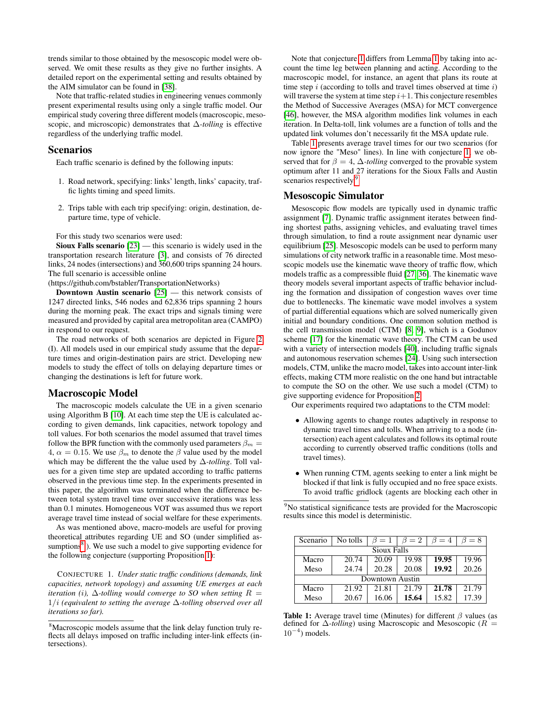trends similar to those obtained by the mesoscopic model were observed. We omit these results as they give no further insights. A detailed report on the experimental setting and results obtained by the AIM simulator can be found in [\[38\]](#page-8-13).

Note that traffic-related studies in engineering venues commonly present experimental results using only a single traffic model. Our empirical study covering three different models (macroscopic, mesoscopic, and microscopic) demonstrates that ∆*-tolling* is effective regardless of the underlying traffic model.

#### Scenarios

Each traffic scenario is defined by the following inputs:

- 1. Road network, specifying: links' length, links' capacity, traffic lights timing and speed limits.
- 2. Trips table with each trip specifying: origin, destination, departure time, type of vehicle.

For this study two scenarios were used:

Sioux Falls scenario [\[23\]](#page-7-21) — this scenario is widely used in the transportation research literature [\[3\]](#page-7-22), and consists of 76 directed links, 24 nodes (intersections) and 360,600 trips spanning 24 hours. The full scenario is accessible online

(https://github.com/bstabler/TransportationNetworks)

**Downtown Austin scenario**  $[25]$  — this network consists of 1247 directed links, 546 nodes and 62,836 trips spanning 2 hours during the morning peak. The exact trips and signals timing were measured and provided by capital area metropolitan area (CAMPO) in respond to our request.

The road networks of both scenarios are depicted in Figure [2](#page-5-0) (I). All models used in our empirical study assume that the departure times and origin-destination pairs are strict. Developing new models to study the effect of tolls on delaying departure times or changing the destinations is left for future work.

#### Macroscopic Model

The macroscopic models calculate the UE in a given scenario using Algorithm B [\[10\]](#page-7-24). At each time step the UE is calculated according to given demands, link capacities, network topology and toll values. For both scenarios the model assumed that travel times follow the BPR function with the commonly used parameters  $\beta_m =$ 4,  $\alpha = 0.15$ . We use  $\beta_m$  to denote the  $\beta$  value used by the model which may be different the the value used by ∆*-tolling*. Toll values for a given time step are updated according to traffic patterns observed in the previous time step. In the experiments presented in this paper, the algorithm was terminated when the difference between total system travel time over successive iterations was less than 0.1 minutes. Homogeneous VOT was assumed thus we report average travel time instead of social welfare for these experiments.

As was mentioned above, macro-models are useful for proving theoretical attributes regarding UE and SO (under simplified assumptions $8$ ). We use such a model to give supporting evidence for the following conjecture (supporting Proposition [1\)](#page-2-4):

<span id="page-4-1"></span>CONJECTURE 1. *Under static traffic conditions (demands, link capacities, network topology) and assuming UE emerges at each iteration (i),*  $\Delta$ -tolling would converge to SO when setting  $R =$ 1/i *(equivalent to setting the average* ∆*-tolling observed over all iterations so far).*

Note that conjecture [1](#page-4-1) differs from Lemma [1](#page-3-1) by taking into account the time leg between planning and acting. According to the macroscopic model, for instance, an agent that plans its route at time step  $i$  (according to tolls and travel times observed at time  $i$ ) will traverse the system at time step  $i+1$ . This conjecture resembles the Method of Successive Averages (MSA) for MCT convergence [\[46\]](#page-8-14), however, the MSA algorithm modifies link volumes in each iteration. In Delta-toll, link volumes are a function of tolls and the updated link volumes don't necessarily fit the MSA update rule.

Table [1](#page-4-2) presents average travel times for our two scenarios (for now ignore the "Meso" lines). In line with conjecture [1,](#page-4-1) we observed that for  $\beta = 4$ ,  $\Delta$ -*tolling* converged to the provable system optimum after 11 and 27 iterations for the Sioux Falls and Austin scenarios respectively.<sup>[9](#page-4-3)</sup>

#### Mesoscopic Simulator

Mesoscopic flow models are typically used in dynamic traffic assignment [\[7\]](#page-7-16). Dynamic traffic assignment iterates between finding shortest paths, assigning vehicles, and evaluating travel times through simulation, to find a route assignment near dynamic user equilibrium [\[25\]](#page-7-23). Mesoscopic models can be used to perform many simulations of city network traffic in a reasonable time. Most mesoscopic models use the kinematic wave theory of traffic flow, which models traffic as a compressible fluid [\[27,](#page-7-17) [36\]](#page-8-12). The kinematic wave theory models several important aspects of traffic behavior including the formation and dissipation of congestion waves over time due to bottlenecks. The kinematic wave model involves a system of partial differential equations which are solved numerically given initial and boundary conditions. One common solution method is the cell transmission model (CTM) [\[8,](#page-7-25) [9\]](#page-7-26), which is a Godunov scheme [\[17\]](#page-7-27) for the kinematic wave theory. The CTM can be used with a variety of intersection models [\[40\]](#page-8-15), including traffic signals and autonomous reservation schemes [\[24\]](#page-7-28). Using such intersection models, CTM, unlike the macro model, takes into account inter-link effects, making CTM more realistic on the one hand but intractable to compute the SO on the other. We use such a model (CTM) to give supporting evidence for Proposition [2.](#page-2-5)

Our experiments required two adaptations to the CTM model:

- Allowing agents to change routes adaptively in response to dynamic travel times and tolls. When arriving to a node (intersection) each agent calculates and follows its optimal route according to currently observed traffic conditions (tolls and travel times).
- When running CTM, agents seeking to enter a link might be blocked if that link is fully occupied and no free space exists. To avoid traffic gridlock (agents are blocking each other in

<span id="page-4-3"></span><sup>9</sup>No statistical significance tests are provided for the Macroscopic results since this model is deterministic.

<span id="page-4-2"></span>

| Scenario        | No tolls | $\beta=1$ | $\beta=2$ | $\beta = 4$ | $\beta = 8$ |  |  |  |  |
|-----------------|----------|-----------|-----------|-------------|-------------|--|--|--|--|
| Sioux Falls     |          |           |           |             |             |  |  |  |  |
| Macro           | 20.74    | 20.09     | 19.98     | 19.95       | 19.96       |  |  |  |  |
| Meso            | 24.74    | 20.28     | 20.08     | 19.92       | 20.26       |  |  |  |  |
| Downtown Austin |          |           |           |             |             |  |  |  |  |
| Macro           | 21.92    | 21.81     | 21.79     | 21.78       | 21.79       |  |  |  |  |
| Meso            | 20.67    | 16.06     | 15.64     | 15.82       | 17.39       |  |  |  |  |

**Table 1:** Average travel time (Minutes) for different  $\beta$  values (as defined for ∆*-tolling*) using Macroscopic and Mesoscopic (R =  $10^{-4}$ ) models.

<span id="page-4-0"></span><sup>&</sup>lt;sup>8</sup>Macroscopic models assume that the link delay function truly reflects all delays imposed on traffic including inter-link effects (intersections).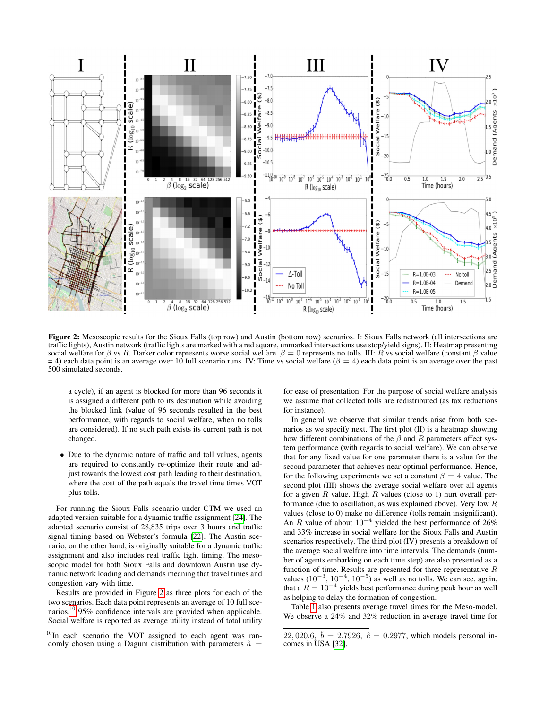<span id="page-5-0"></span>

Figure 2: Mesoscopic results for the Sioux Falls (top row) and Austin (bottom row) scenarios. I: Sioux Falls network (all intersections are traffic lights), Austin network (traffic lights are marked with a red square, unmarked intersections use stop/yield signs). II: Heatmap presenting social welfare for β vs R. Darker color represents worse social welfare.  $\beta = 0$  represents no tolls. III: R vs social welfare (constant β value  $=$  4) each data point is an average over 10 full scenario runs. IV: Time vs social welfare ( $\beta$  = 4) each data point is an average over the past 500 simulated seconds.

a cycle), if an agent is blocked for more than 96 seconds it is assigned a different path to its destination while avoiding the blocked link (value of 96 seconds resulted in the best performance, with regards to social welfare, when no tolls are considered). If no such path exists its current path is not changed.

• Due to the dynamic nature of traffic and toll values, agents are required to constantly re-optimize their route and adjust towards the lowest cost path leading to their destination, where the cost of the path equals the travel time times VOT plus tolls.

For running the Sioux Falls scenario under CTM we used an adapted version suitable for a dynamic traffic assignment [\[24\]](#page-7-28). The adapted scenario consist of 28,835 trips over 3 hours and traffic signal timing based on Webster's formula [\[22\]](#page-7-29). The Austin scenario, on the other hand, is originally suitable for a dynamic traffic assignment and also includes real traffic light timing. The mesoscopic model for both Sioux Falls and downtown Austin use dynamic network loading and demands meaning that travel times and congestion vary with time.

Results are provided in Figure [2](#page-5-0) as three plots for each of the two scenarios. Each data point represents an average of 10 full scenarios.[10](#page-5-1) 95% confidence intervals are provided when applicable. Social welfare is reported as average utility instead of total utility for ease of presentation. For the purpose of social welfare analysis we assume that collected tolls are redistributed (as tax reductions for instance).

In general we observe that similar trends arise from both scenarios as we specify next. The first plot (II) is a heatmap showing how different combinations of the  $\beta$  and R parameters affect system performance (with regards to social welfare). We can observe that for any fixed value for one parameter there is a value for the second parameter that achieves near optimal performance. Hence, for the following experiments we set a constant  $\beta = 4$  value. The second plot (III) shows the average social welfare over all agents for a given  $R$  value. High  $R$  values (close to 1) hurt overall performance (due to oscillation, as was explained above). Very low R values (close to 0) make no difference (tolls remain insignificant). An R value of about  $10^{-4}$  yielded the best performance of 26% and 33% increase in social welfare for the Sioux Falls and Austin scenarios respectively. The third plot (IV) presents a breakdown of the average social welfare into time intervals. The demands (number of agents embarking on each time step) are also presented as a function of time. Results are presented for three representative R values  $(10^{-3}, 10^{-4}, 10^{-5})$  as well as no tolls. We can see, again, that a  $R = 10^{-4}$  yields best performance during peak hour as well as helping to delay the formation of congestion.

Table [1](#page-4-2) also presents average travel times for the Meso-model. We observe a 24% and 32% reduction in average travel time for

<span id="page-5-1"></span> $10$ In each scenario the VOT assigned to each agent was randomly chosen using a Dagum distribution with parameters  $\hat{a}$  =

<sup>22, 020.6,</sup>  $\hat{b} = 2.7926$ ,  $\hat{c} = 0.2977$ , which models personal incomes in USA [\[32\]](#page-8-16).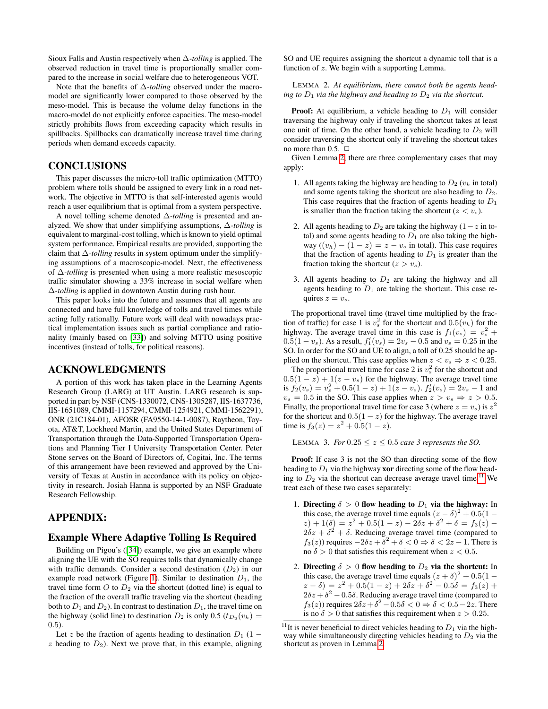Sioux Falls and Austin respectively when ∆*-tolling* is applied. The observed reduction in travel time is proportionally smaller compared to the increase in social welfare due to heterogeneous VOT.

Note that the benefits of ∆*-tolling* observed under the macromodel are significantly lower compared to those observed by the meso-model. This is because the volume delay functions in the macro-model do not explicitly enforce capacities. The meso-model strictly prohibits flows from exceeding capacity which results in spillbacks. Spillbacks can dramatically increase travel time during periods when demand exceeds capacity.

#### **CONCLUSIONS**

This paper discusses the micro-toll traffic optimization (MTTO) problem where tolls should be assigned to every link in a road network. The objective in MTTO is that self-interested agents would reach a user equilibrium that is optimal from a system perspective.

A novel tolling scheme denoted ∆*-tolling* is presented and analyzed. We show that under simplifying assumptions, ∆*-tolling* is equivalent to marginal-cost tolling, which is known to yield optimal system performance. Empirical results are provided, supporting the claim that ∆*-tolling* results in system optimum under the simplifying assumptions of a macroscopic-model. Next, the effectiveness of ∆*-tolling* is presented when using a more realistic mesoscopic traffic simulator showing a 33% increase in social welfare when ∆*-tolling* is applied in downtown Austin during rush hour.

This paper looks into the future and assumes that all agents are connected and have full knowledge of tolls and travel times while acting fully rationally. Future work will deal with nowadays practical implementation issues such as partial compliance and rationality (mainly based on [\[33\]](#page-8-17)) and solving MTTO using positive incentives (instead of tolls, for political reasons).

#### ACKNOWLEDGMENTS

A portion of this work has taken place in the Learning Agents Research Group (LARG) at UT Austin. LARG research is supported in part by NSF (CNS-1330072, CNS-1305287, IIS-1637736, IIS-1651089, CMMI-1157294, CMMI-1254921, CMMI-1562291), ONR (21C184-01), AFOSR (FA9550-14-1-0087), Raytheon, Toyota, AT&T, Lockheed Martin, and the United States Department of Transportation through the Data-Supported Transportation Operations and Planning Tier I University Transportation Center. Peter Stone serves on the Board of Directors of, Cogitai, Inc. The terms of this arrangement have been reviewed and approved by the University of Texas at Austin in accordance with its policy on objectivity in research. Josiah Hanna is supported by an NSF Graduate Research Fellowship.

#### APPENDIX:

#### Example Where Adaptive Tolling Is Required

Building on Pigou's ([\[34\]](#page-8-0)) example, we give an example where aligning the UE with the SO requires tolls that dynamically change with traffic demands. Consider a second destination  $(D_2)$  in our example road network (Figure [1\)](#page-1-0). Similar to destination  $D_1$ , the travel time form O to  $D_2$  via the shortcut (dotted line) is equal to the fraction of the overall traffic traveling via the shortcut (heading both to  $D_1$  and  $D_2$ ). In contrast to destination  $D_1$ , the travel time on the highway (solid line) to destination  $D_2$  is only 0.5  $(t_{D_2}(v_h) =$ 0.5).

Let z be the fraction of agents heading to destination  $D_1$  (1 –  $z$  heading to  $D_2$ ). Next we prove that, in this example, aligning SO and UE requires assigning the shortcut a dynamic toll that is a function of z. We begin with a supporting Lemma.

<span id="page-6-0"></span>LEMMA 2. *At equilibrium, there cannot both be agents heading to*  $D_1$  *via the highway and heading to*  $D_2$  *via the shortcut.* 

**Proof:** At equilibrium, a vehicle heading to  $D_1$  will consider traversing the highway only if traveling the shortcut takes at least one unit of time. On the other hand, a vehicle heading to  $D_2$  will consider traversing the shortcut only if traveling the shortcut takes no more than  $0.5. \square$ 

Given Lemma [2,](#page-6-0) there are three complementary cases that may apply:

- 1. All agents taking the highway are heading to  $D_2$  ( $v_h$  in total) and some agents taking the shortcut are also heading to  $D_2$ . This case requires that the fraction of agents heading to  $D_1$ is smaller than the fraction taking the shortcut  $(z < v<sub>s</sub>)$ .
- 2. All agents heading to  $D_2$  are taking the highway (1 z in total) and some agents heading to  $D_1$  are also taking the highway  $((v_h) - (1 - z) = z - v_s$  in total). This case requires that the fraction of agents heading to  $D_1$  is greater than the fraction taking the shortcut  $(z > v_s)$ .
- 3. All agents heading to  $D_2$  are taking the highway and all agents heading to  $D_1$  are taking the shortcut. This case requires  $z = v_s$ .

The proportional travel time (travel time multiplied by the fraction of traffic) for case 1 is  $v_s^2$  for the shortcut and  $0.5(v_h)$  for the highway. The average travel time in this case is  $f_1(v_s) = v_s^2 +$  $0.5(1 - v_s)$ . As a result,  $f'_1(v_s) = 2v_s - 0.5$  and  $v_s = 0.25$  in the SO. In order for the SO and UE to align, a toll of 0.25 should be applied on the shortcut. This case applies when  $z < v_s \Rightarrow z < 0.25$ . The proportional travel time for case 2 is  $v_s^2$  for the shortcut and  $0.5(1-z) + 1(z - v_s)$  for the highway. The average travel time is  $f_2(v_s) = v_s^2 + 0.5(1 - z) + 1(z - v_s)$ .  $f'_2(v_s) = 2v_s - 1$  and  $v_s = 0.5$  in the SO. This case applies when  $z > v_s \Rightarrow z > 0.5$ .

Finally, the proportional travel time for case 3 (where  $z = v_s$ ) is  $z^2$ for the shortcut and  $0.5(1-z)$  for the highway. The average travel time is  $f_3(z) = z^2 + 0.5(1 - z)$ .

<span id="page-6-2"></span>LEMMA 3. *For*  $0.25 \le z \le 0.5$  *case 3 represents the SO.* 

**Proof:** If case 3 is not the SO than directing some of the flow heading to  $D_1$  via the highway **xor** directing some of the flow heading to  $D_2$  via the shortcut can decrease average travel time.<sup>[11](#page-6-1)</sup> We treat each of these two cases separately:

- 1. Directing  $\delta > 0$  flow heading to  $D_1$  via the highway: In this case, the average travel time equals  $(z - \delta)^2 + 0.5(1 (z) + 1(\delta) = z^2 + 0.5(1 - z) - 2\delta z + \delta^2 + \delta = f_3(z) 2\delta z + \delta^2 + \delta$ . Reducing average travel time (compared to  $f_3(z)$ ) requires  $-2\delta z + \delta^2 + \delta < 0 \Rightarrow \delta < 2z - 1$ . There is no  $\delta > 0$  that satisfies this requirement when  $z < 0.5$ .
- 2. Directing  $\delta > 0$  flow heading to  $D_2$  via the shortcut: In this case, the average travel time equals  $(z + \delta)^2 + 0.5(1 (z - \delta) = z^2 + 0.5(1 - z) + 2\delta z + \delta^2 - 0.5\delta = f_3(z) +$  $2\delta z + \delta^2 - 0.5\delta$ . Reducing average travel time (compared to  $f_3(z)$ ) requires  $2\delta z + \delta^2 - 0.5\delta < 0 \Rightarrow \delta < 0.5 - 2z$ . There is no  $\delta > 0$  that satisfies this requirement when  $z > 0.25$ .

<span id="page-6-1"></span><sup>&</sup>lt;sup>11</sup>It is never beneficial to direct vehicles heading to  $D_1$  via the highway while simultaneously directing vehicles heading to  $D_2$  via the shortcut as proven in Lemma [2.](#page-6-0)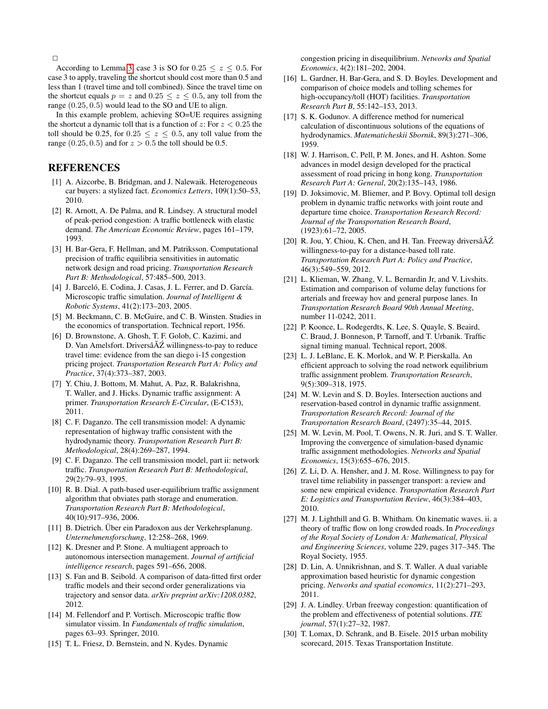$\Box$ 

According to Lemma [3,](#page-6-2) case 3 is SO for  $0.25 \le z \le 0.5$ . For case 3 to apply, traveling the shortcut should cost more than 0.5 and less than 1 (travel time and toll combined). Since the travel time on the shortcut equals  $p = z$  and  $0.25 \le z \le 0.5$ , any toll from the range (0.25, 0.5) would lead to the SO and UE to align.

In this example problem, achieving SO=UE requires assigning the shortcut a dynamic toll that is a function of z: For  $z < 0.25$  the toll should be 0.25, for  $0.25 \le z \le 0.5$ , any toll value from the range  $(0.25, 0.5)$  and for  $z > 0.5$  the toll should be 0.5.

## REFERENCES

- <span id="page-7-13"></span>[1] A. Aizcorbe, B. Bridgman, and J. Nalewaik. Heterogeneous car buyers: a stylized fact. *Economics Letters*, 109(1):50–53, 2010.
- <span id="page-7-7"></span>[2] R. Arnott, A. De Palma, and R. Lindsey. A structural model of peak-period congestion: A traffic bottleneck with elastic demand. *The American Economic Review*, pages 161–179, 1993.
- <span id="page-7-22"></span>[3] H. Bar-Gera, F. Hellman, and M. Patriksson. Computational precision of traffic equilibria sensitivities in automatic network design and road pricing. *Transportation Research Part B: Methodological*, 57:485–500, 2013.
- <span id="page-7-19"></span>[4] J. Barceló, E. Codina, J. Casas, J. L. Ferrer, and D. García. Microscopic traffic simulation. *Journal of Intelligent & Robotic Systems*, 41(2):173–203, 2005.
- <span id="page-7-0"></span>[5] M. Beckmann, C. B. McGuire, and C. B. Winsten. Studies in the economics of transportation. Technical report, 1956.
- <span id="page-7-3"></span>[6] D. Brownstone, A. Ghosh, T. F. Golob, C. Kazimi, and D. Van Amelsfort. Drivers $\tilde{A} \tilde{Z}$  willingness-to-pay to reduce travel time: evidence from the san diego i-15 congestion pricing project. *Transportation Research Part A: Policy and Practice*, 37(4):373–387, 2003.
- <span id="page-7-16"></span>[7] Y. Chiu, J. Bottom, M. Mahut, A. Paz, R. Balakrishna, T. Waller, and J. Hicks. Dynamic traffic assignment: A primer. *Transportation Research E-Circular*, (E-C153), 2011.
- <span id="page-7-25"></span>[8] C. F. Daganzo. The cell transmission model: A dynamic representation of highway traffic consistent with the hydrodynamic theory. *Transportation Research Part B: Methodological*, 28(4):269–287, 1994.
- <span id="page-7-26"></span>[9] C. F. Daganzo. The cell transmission model, part ii: network traffic. *Transportation Research Part B: Methodological*, 29(2):79–93, 1995.
- <span id="page-7-24"></span>[10] R. B. Dial. A path-based user-equilibrium traffic assignment algorithm that obviates path storage and enumeration. *Transportation Research Part B: Methodological*, 40(10):917–936, 2006.
- <span id="page-7-1"></span>[11] B. Dietrich. Über ein Paradoxon aus der Verkehrsplanung. *Unternehmensforschung*, 12:258–268, 1969.
- <span id="page-7-20"></span>[12] K. Dresner and P. Stone. A multiagent approach to autonomous intersection management. *Journal of artificial intelligence research*, pages 591–656, 2008.
- <span id="page-7-12"></span>[13] S. Fan and B. Seibold. A comparison of data-fitted first order traffic models and their second order generalizations via trajectory and sensor data. *arXiv preprint arXiv:1208.0382*, 2012.
- <span id="page-7-18"></span>[14] M. Fellendorf and P. Vortisch. Microscopic traffic flow simulator vissim. In *Fundamentals of traffic simulation*, pages 63–93. Springer, 2010.
- <span id="page-7-10"></span>[15] T. L. Friesz, D. Bernstein, and N. Kydes. Dynamic

congestion pricing in disequilibrium. *Networks and Spatial Economics*, 4(2):181–202, 2004.

- <span id="page-7-11"></span>[16] L. Gardner, H. Bar-Gera, and S. D. Boyles. Development and comparison of choice models and tolling schemes for high-occupancy/toll (HOT) facilities. *Transportation Research Part B*, 55:142–153, 2013.
- <span id="page-7-27"></span>[17] S. K. Godunov. A difference method for numerical calculation of discontinuous solutions of the equations of hydrodynamics. *Matematicheskii Sbornik*, 89(3):271–306, 1959.
- <span id="page-7-6"></span>[18] W. J. Harrison, C. Pell, P. M. Jones, and H. Ashton. Some advances in model design developed for the practical assessment of road pricing in hong kong. *Transportation Research Part A: General*, 20(2):135–143, 1986.
- <span id="page-7-8"></span>[19] D. Joksimovic, M. Bliemer, and P. Bovy. Optimal toll design problem in dynamic traffic networks with joint route and departure time choice. *Transportation Research Record: Journal of the Transportation Research Board*, (1923):61–72, 2005.
- <span id="page-7-4"></span>[20] R. Jou, Y. Chiou, K. Chen, and H. Tan. Freeway drivers $\tilde{A}Z$ willingness-to-pay for a distance-based toll rate. *Transportation Research Part A: Policy and Practice*, 46(3):549–559, 2012.
- <span id="page-7-14"></span>[21] L. Klieman, W. Zhang, V. L. Bernardin Jr, and V. Livshits. Estimation and comparison of volume delay functions for arterials and freeway hov and general purpose lanes. In *Transportation Research Board 90th Annual Meeting*, number 11-0242, 2011.
- <span id="page-7-29"></span>[22] P. Koonce, L. Rodegerdts, K. Lee, S. Quayle, S. Beaird, C. Braud, J. Bonneson, P. Tarnoff, and T. Urbanik. Traffic signal timing manual. Technical report, 2008.
- <span id="page-7-21"></span>[23] L. J. LeBlanc, E. K. Morlok, and W. P. Pierskalla. An efficient approach to solving the road network equilibrium traffic assignment problem. *Transportation Research*, 9(5):309–318, 1975.
- <span id="page-7-28"></span>[24] M. W. Levin and S. D. Boyles. Intersection auctions and reservation-based control in dynamic traffic assignment. *Transportation Research Record: Journal of the Transportation Research Board*, (2497):35–44, 2015.
- <span id="page-7-23"></span>[25] M. W. Levin, M. Pool, T. Owens, N. R. Juri, and S. T. Waller. Improving the convergence of simulation-based dynamic traffic assignment methodologies. *Networks and Spatial Economics*, 15(3):655–676, 2015.
- <span id="page-7-5"></span>[26] Z. Li, D. A. Hensher, and J. M. Rose. Willingness to pay for travel time reliability in passenger transport: a review and some new empirical evidence. *Transportation Research Part E: Logistics and Transportation Review*, 46(3):384–403, 2010.
- <span id="page-7-17"></span>[27] M. J. Lighthill and G. B. Whitham. On kinematic waves. ii. a theory of traffic flow on long crowded roads. In *Proceedings of the Royal Society of London A: Mathematical, Physical and Engineering Sciences*, volume 229, pages 317–345. The Royal Society, 1955.
- <span id="page-7-9"></span>[28] D. Lin, A. Unnikrishnan, and S. T. Waller. A dual variable approximation based heuristic for dynamic congestion pricing. *Networks and spatial economics*, 11(2):271–293, 2011.
- <span id="page-7-15"></span>[29] J. A. Lindley. Urban freeway congestion: quantification of the problem and effectiveness of potential solutions. *ITE journal*, 57(1):27–32, 1987.
- <span id="page-7-2"></span>[30] T. Lomax, D. Schrank, and B. Eisele. 2015 urban mobility scorecard, 2015. Texas Transportation Institute.